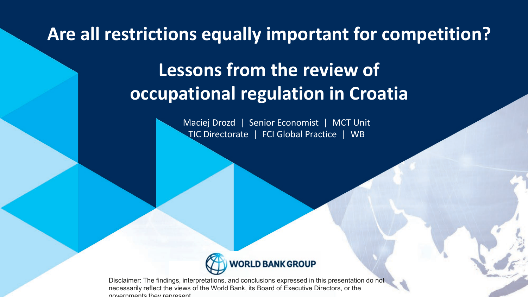**Are all restrictions equally important for competition?**

# **Lessons from the review of occupational regulation in Croatia**

Maciej Drozd | Senior Economist | MCT Unit TIC Directorate | FCI Global Practice | WB



Disclaimer: The findings, interpretations, and conclusions expressed in this presentation do not necessarily reflect the views of the World Bank, its Board of Executive Directors, or the governments they represent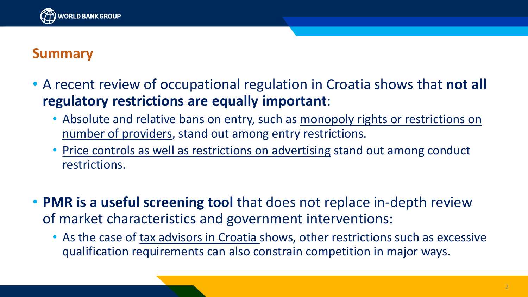

#### **Summary**

- A recent review of occupational regulation in Croatia shows that **not all regulatory restrictions are equally important**:
	- Absolute and relative bans on entry, such as monopoly rights or restrictions on number of providers, stand out among entry restrictions.
	- Price controls as well as restrictions on advertising stand out among conduct restrictions.
- **PMR is a useful screening tool** that does not replace in-depth review of market characteristics and government interventions:
	- As the case of tax advisors in Croatia shows, other restrictions such as excessive qualification requirements can also constrain competition in major ways.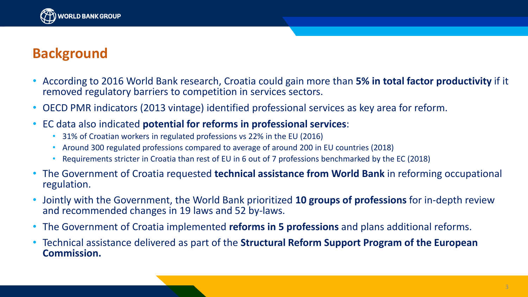

#### **Background**

- According to 2016 World Bank research, Croatia could gain more than **5% in total factor productivity** if it removed regulatory barriers to competition in services sectors.
- OECD PMR indicators (2013 vintage) identified professional services as key area for reform.
- EC data also indicated **potential for reforms in professional services**:
	- 31% of Croatian workers in regulated professions vs 22% in the EU (2016)
	- Around 300 regulated professions compared to average of around 200 in EU countries (2018)
	- Requirements stricter in Croatia than rest of EU in 6 out of 7 professions benchmarked by the EC (2018)
- The Government of Croatia requested **technical assistance from World Bank** in reforming occupational regulation.
- Jointly with the Government, the World Bank prioritized **10 groups of professions** for in-depth review and recommended changes in 19 laws and 52 by-laws.
- The Government of Croatia implemented **reforms in 5 professions** and plans additional reforms.
- Technical assistance delivered as part of the **Structural Reform Support Program of the European Commission.**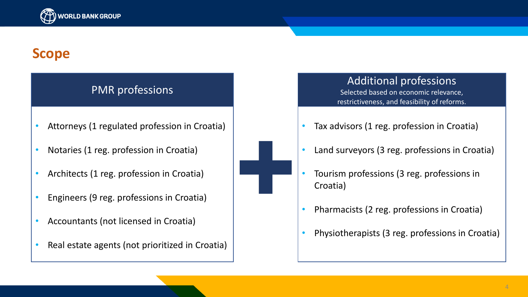

#### **Scope**

#### PMR professions

- Attorneys (1 regulated profession in Croatia)
- Notaries (1 reg. profession in Croatia)
- Architects (1 reg. profession in Croatia)
- Engineers (9 reg. professions in Croatia)
- Accountants (not licensed in Croatia)
- Real estate agents (not prioritized in Croatia)



#### Additional professions

Selected based on economic relevance, restrictiveness, and feasibility of reforms.

- Tax advisors (1 reg. profession in Croatia)
- Land surveyors (3 reg. professions in Croatia)
- Tourism professions (3 reg. professions in Croatia)
- Pharmacists (2 reg. professions in Croatia)
- Physiotherapists (3 reg. professions in Croatia)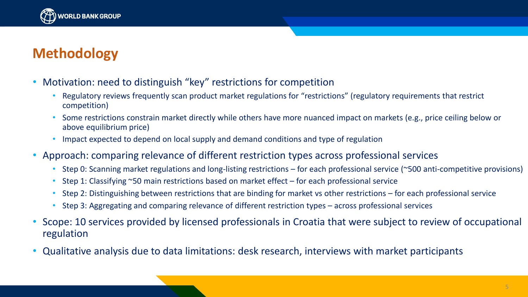

### **Methodology**

- Motivation: need to distinguish "key" restrictions for competition
	- Regulatory reviews frequently scan product market regulations for "restrictions" (regulatory requirements that restrict competition)
	- Some restrictions constrain market directly while others have more nuanced impact on markets (e.g., price ceiling below or above equilibrium price)
	- Impact expected to depend on local supply and demand conditions and type of regulation
- Approach: comparing relevance of different restriction types across professional services
	- Step 0: Scanning market regulations and long-listing restrictions for each professional service (~500 anti-competitive provisions)
	- Step 1: Classifying ~50 main restrictions based on market effect for each professional service
	- Step 2: Distinguishing between restrictions that are binding for market vs other restrictions for each professional service
	- Step 3: Aggregating and comparing relevance of different restriction types across professional services
- Scope: 10 services provided by licensed professionals in Croatia that were subject to review of occupational regulation
- Qualitative analysis due to data limitations: desk research, interviews with market participants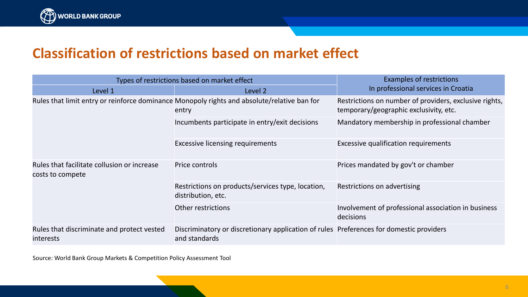

#### **Classification of restrictions based on market effect**

| Types of restrictions based on market effect                    |                                                                                                          | <b>Examples of restrictions</b>                                                                  |
|-----------------------------------------------------------------|----------------------------------------------------------------------------------------------------------|--------------------------------------------------------------------------------------------------|
| Level 1                                                         | Level 2                                                                                                  | In professional services in Croatia                                                              |
|                                                                 | Rules that limit entry or reinforce dominance Monopoly rights and absolute/relative ban for<br>entry     | Restrictions on number of providers, exclusive rights,<br>temporary/geographic exclusivity, etc. |
|                                                                 | Incumbents participate in entry/exit decisions                                                           | Mandatory membership in professional chamber                                                     |
|                                                                 | <b>Excessive licensing requirements</b>                                                                  | <b>Excessive qualification requirements</b>                                                      |
| Rules that facilitate collusion or increase<br>costs to compete | Price controls                                                                                           | Prices mandated by gov't or chamber                                                              |
|                                                                 | Restrictions on products/services type, location,<br>distribution, etc.                                  | Restrictions on advertising                                                                      |
|                                                                 | Other restrictions                                                                                       | Involvement of professional association in business<br>decisions                                 |
| Rules that discriminate and protect vested<br><i>interests</i>  | Discriminatory or discretionary application of rules Preferences for domestic providers<br>and standards |                                                                                                  |

Source: World Bank Group Markets & Competition Policy Assessment Tool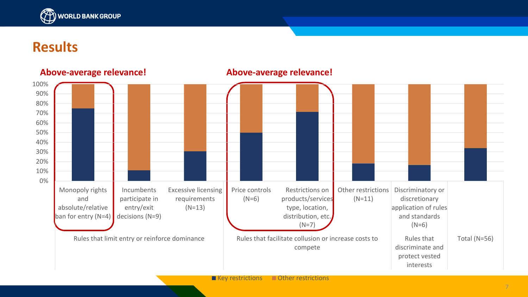

#### **Results**



#### $\blacksquare$  Key restrictions  $\blacksquare$  Other restrictions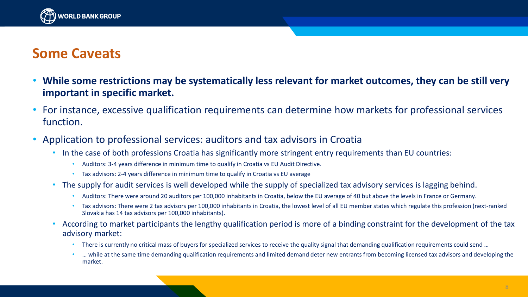

#### **Some Caveats**

- **While some restrictions may be systematically less relevant for market outcomes, they can be still very important in specific market.**
- For instance, excessive qualification requirements can determine how markets for professional services function.
- Application to professional services: auditors and tax advisors in Croatia
	- In the case of both professions Croatia has significantly more stringent entry requirements than EU countries:
		- Auditors: 3-4 years difference in minimum time to qualify in Croatia vs EU Audit Directive.
		- Tax advisors: 2-4 years difference in minimum time to qualify in Croatia vs EU average
	- The supply for audit services is well developed while the supply of specialized tax advisory services is lagging behind.
		- Auditors: There were around 20 auditors per 100,000 inhabitants in Croatia, below the EU average of 40 but above the levels in France or Germany.
		- Tax advisors: There were 2 tax advisors per 100,000 inhabitants in Croatia, the lowest level of all EU member states which regulate this profession (next-ranked Slovakia has 14 tax advisors per 100,000 inhabitants).
	- According to market participants the lengthy qualification period is more of a binding constraint for the development of the tax advisory market:
		- There is currently no critical mass of buyers for specialized services to receive the quality signal that demanding qualification requirements could send ...
		- … while at the same time demanding qualification requirements and limited demand deter new entrants from becoming licensed tax advisors and developing the market.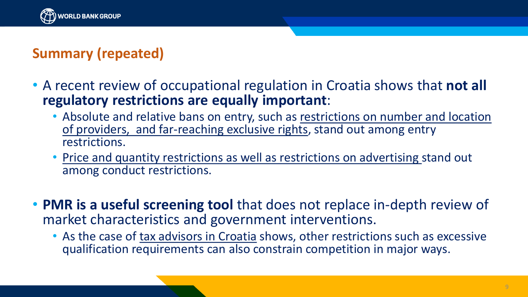

## **Summary (repeated)**

- A recent review of occupational regulation in Croatia shows that **not all regulatory restrictions are equally important**:
	- Absolute and relative bans on entry, such as restrictions on number and location of providers, and far-reaching exclusive rights, stand out among entry restrictions.
	- Price and quantity restrictions as well as restrictions on advertising stand out among conduct restrictions.
- **PMR is a useful screening tool** that does not replace in-depth review of market characteristics and government interventions.
	- As the case of tax advisors in Croatia shows, other restrictions such as excessive qualification requirements can also constrain competition in major ways.